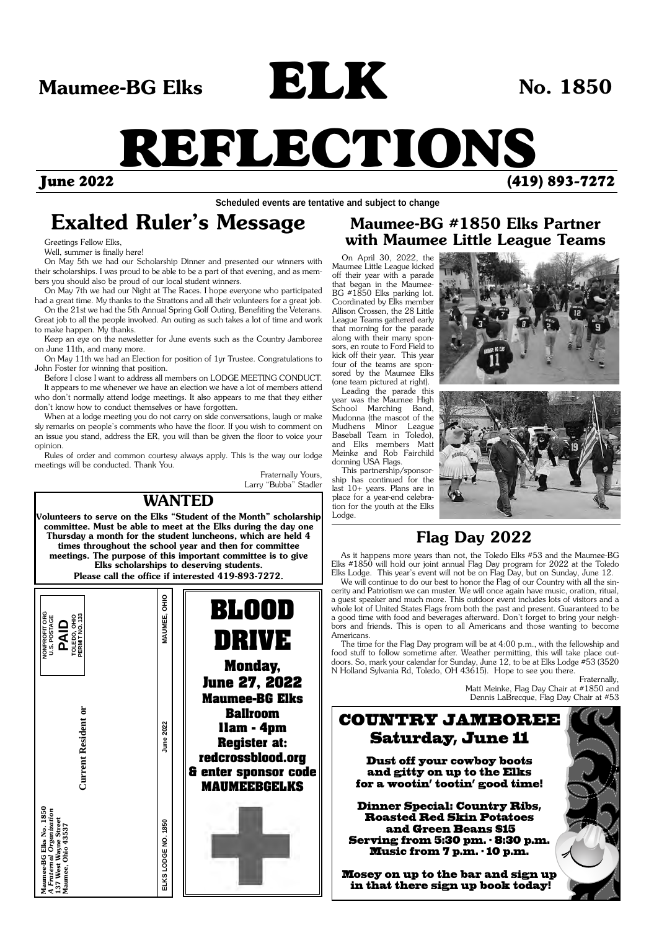Greetings Fellow Elks,

Well, summer is finally here!

On May 5th we had our Scholarship Dinner and presented our winners with their scholarships. I was proud to be able to be a part of that evening, and as members you should also be proud of our local student winners.

On May 7th we had our Night at The Races. I hope everyone who participated had a great time. My thanks to the Strattons and all their volunteers for a great job.

On the 21st we had the 5th Annual Spring Golf Outing, Benefiting the Veterans. Great job to all the people involved. An outing as such takes a lot of time and work to make happen. My thanks.

Keep an eye on the newsletter for June events such as the Country Jamboree on June 11th, and many more.

On May 11th we had an Election for position of 1yr Trustee. Congratulations to John Foster for winning that position.

Maumee-BG Elks No. 1850<br>A Fraternal Organization<br>137 West Wayne Street<br>Maumee, Ohio 43537 **Maumee-BG Elks No. 1850**  *A Fraternal Organization*  **137 West Wayne Street Maumee, Ohio 43537**

**Current Resident or Current Resident** 

Before I close I want to address all members on LODGE MEETING CONDUCT. It appears to me whenever we have an election we have a lot of members attend who don't normally attend lodge meetings. It also appears to me that they either

don't know how to conduct themselves or have forgotten. When at a lodge meeting you do not carry on side conversations, laugh or make sly remarks on people's comments who have the floor. If you wish to comment on an issue you stand, address the ER, you will than be given the floor to voice your opinion.

Rules of order and common courtesy always apply. This is the way our lodge meetings will be conducted. Thank You.

Fraternally Yours, Larry "Bubba" Stadler

# June 2022 (419) 893-7272 REFLECTIONS

Maumee-BG Elks **No. 1850**  $\blacksquare$ 

ELK

## **Exalted Ruler's Message**

On April 30, 2022, the Maumee Little League kicked off their year with a parade that began in the Maumee-BG #1850 Elks parking lot. Coordinated by Elks member Allison Crossen, the 28 Little League Teams gathered early that morning for the parade along with their many sponsors, en route to Ford Field to kick off their year. This year four of the teams are sponsored by the Maumee Elks (one team pictured at right).

Leading the parade this year was the Maumee High School Marching Band, Mudonna (the mascot of the Mudhens Minor League Baseball Team in Toledo), and Elks members Matt Meinke and Rob Fairchild donning USA Flags.

This partnership/sponsorship has continued for the last 10+ years. Plans are in place for a year-end celebration for the youth at the Elks Lodge.





## **Maumee-BG #1850 Elks Partner with Maumee Little League Teams**



ELKS LODGE NO. 1850

As it happens more years than not, the Toledo Elks #53 and the Maumee-BG Elks #1850 will hold our joint annual Flag Day program for 2022 at the Toledo Elks Lodge. This year's event will not be on Flag Day, but on Sunday, June 12.

We will continue to do our best to honor the Flag of our Country with all the sincerity and Patriotism we can muster. We will once again have music, oration, ritual, a guest speaker and much more. This outdoor event includes lots of visitors and a whole lot of United States Flags from both the past and present. Guaranteed to be a good time with food and beverages afterward. Don't forget to bring your neighbors and friends. This is open to all Americans and those wanting to become Americans.

The time for the Flag Day program will be at 4:00 p.m., with the fellowship and food stuff to follow sometime after. Weather permitting, this will take place outdoors. So, mark your calendar for Sunday, June 12, to be at Elks Lodge #53 (3520 N Holland Sylvania Rd, Toledo, OH 43615). Hope to see you there.

Fraternally, Matt Meinke, Flag Day Chair at #1850 and Dennis LaBrecque, Flag Day Chair at #53

## **Flag Day 2022**

**Scheduled events are tentative and subject to change**

**11am - 4pm Register at: redcrossblood.org & enter sponsor code MAUMEEBGELKS** 

## **WANTED**

**Volunteers to serve on the Elks "Student of the Month" scholarship committee. Must be able to meet at the Elks during the day one Thursday a month for the student luncheons, which are held 4 times throughout the school year and then for committee meetings. The purpose of this important committee is to give Elks scholarships to deserving students. Please call the office if interested 419-893-7272.**



## Saturday, June 11

Dust off your cowboy boots and gitty on up to the Elks for a wootin' tootin' good time!

Dinner Special: Country Ribs, Roasted Red Skin Potatoes and Green Beans \$15 Serving from 5:30 pm. - 8:30 p.m. Music from 7 p.m. - 10 p.m.

Mosey on up to the bar and sign up in that there sign up book today!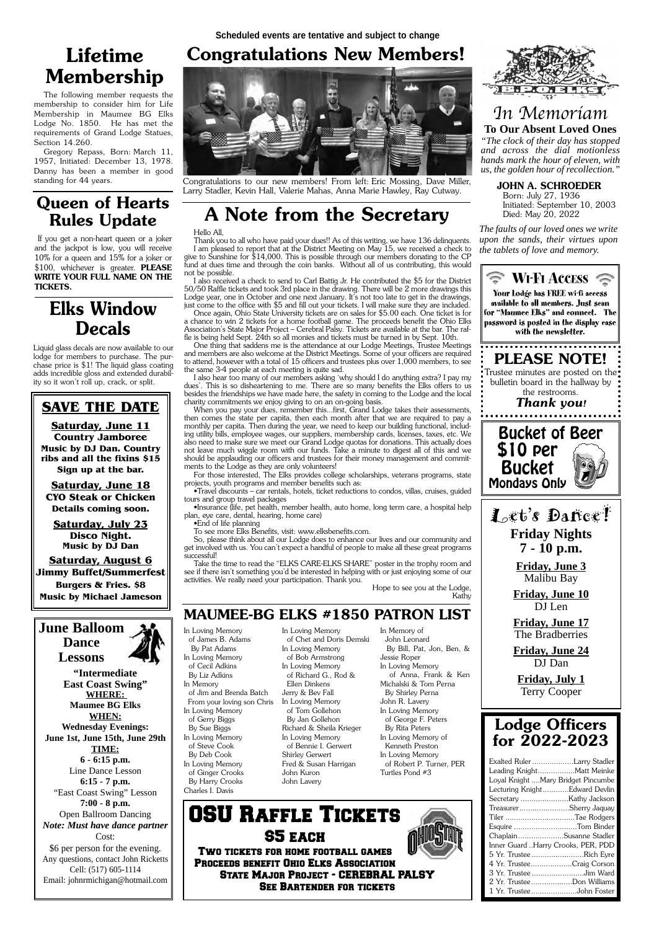## **MAUMEE-BG ELKS #1850 PATRON LIST**

In Loving Memory of James B. Adams By Pat Adams In Loving Memory of Cecil Adkins By Liz Adkins In Memory of Jim and Brenda Batch

In Loving Memory of Gerry Biggs By Sue Biggs In Loving Memory of Steve Cook By Deb Cook In Loving Memory of Ginger Crooks By Harry Crooks Charles I. Davis

In Loving Memory

of Chet and Doris Demski

 From your loving son Chris In Loving Memory of Bob Armstrong In Loving Memory of Richard G., Rod & Ellen Dinkens Jerry & Bev Fall In Loving Memory of Tom Gollehon By Jan Gollehon Richard & Sheila Krieger In Loving Memory of Bennie I. Gerwert Shirley Gerwert Fred & Susan Harrigan John Kuron John Lavery

In Memory of John Leonard By Bill, Pat, Jon, Ben, & Jessie Roper In Loving Memory of Anna, Frank & Ken Michalski & Tom Perna By Shirley Perna John R. Lavery In Loving Memory of George F. Peters



 By Rita Peters In Loving Memory of Kenneth Preston In Loving Memory of Robert P. Turner, PER Turtles Pond #3

## In Memoriam **To Our Absent Loved Ones**

*"The clock of their day has stopped and across the dial motionless hands mark the hour of eleven, with us, the golden hour of recollection."*

*The faults of our loved ones we write upon the sands, their virtues upon the tablets of love and memory.*

**JOHN A. SCHROEDER** 

 Born: July 27, 1936 Initiated: September 10, 2003 Died: May 20, 2022

## **for 2022-2023**

| Exalted Ruler Larry Stadler        |  |  |  |  |  |
|------------------------------------|--|--|--|--|--|
| Leading KnightMatt Meinke          |  |  |  |  |  |
| Loyal Knight Mary Bridget Pincumbe |  |  |  |  |  |
| Lecturing KnightEdward Devlin      |  |  |  |  |  |
|                                    |  |  |  |  |  |
| TreasurerSherry Jaquay             |  |  |  |  |  |
| Tiler Tae Rodgers                  |  |  |  |  |  |
| Esquire Tom Binder                 |  |  |  |  |  |
| ChaplainSusanne Stadler            |  |  |  |  |  |
| Inner Guard Harry Crooks, PER, PDD |  |  |  |  |  |
| 5 Yr. Trustee Rich Eyre            |  |  |  |  |  |
| 4 Yr. TrusteeCraig Corson          |  |  |  |  |  |
| 3 Yr. Trustee Jim Ward             |  |  |  |  |  |
| 2 Yr. TrusteeDon Williams          |  |  |  |  |  |
| 1 Yr. TrusteeJohn Foster           |  |  |  |  |  |



## **Congratulations New Members!**

### **SAVE THE DATE**

**Saturday, June 11 Country Jamboree Music by DJ Dan. Country ribs and all the fixins \$15 Sign up at the bar.**

**Saturday, June 18 CYO Steak or Chicken Details coming soon.**

**Saturday, July 23 Disco Night. Music by DJ Dan**

**Saturday, August 6 Jimmy Buffet/Summerfest Burgers & Fries. \$8 Music by Michael Jameson**

## **June Balloom Dance**

**Lessons**

**"Intermediate East Coast Swing" WHERE: Maumee BG Elks WHEN:** 

So, please think about all our Lodge does to enhance our lives and our community and get involved with us. You can't expect a handful of people to make all these great programs successful!

**Wednesday Evenings: June 1st, June 15th, June 29th TIME: 6 - 6:15 p.m.**  Line Dance Lesson **6:15 - 7 p.m.**  "East Coast Swing" Lesson **7:00 - 8 p.m.** Open Ballroom Dancing *Note: Must have dance partner* Cost: \$6 per person for the evening. Any questions, contact John Ricketts Cell: (517) 605-1114 Email: johnrmichigan@hotmail.com



Congratulations to our new members! From left: Eric Mossing, Dave Miller, Larry Stadler, Kevin Hall, Valerie Mahas, Anna Marie Hawley, Ray Cutway.

## **A Note from the Secretary**

### Hello All,

Thank you to all who have paid your dues!! As of this writing, we have 136 delinquents. I am pleased to report that at the District Meeting on May 15, we received a check to give to Sunshine for \$14,000. This is possible through our members donating to the CP fund at dues time and through the coin banks. Without all of us contributing, this would not be possible.

I also received a check to send to Carl Battig Jr. He contributed the \$5 for the District 50/50 Raffle tickets and took 3rd place in the drawing. There will be 2 more drawings this Lodge year, one in October and one next January. It's not too late to get in the drawings, just come to the office with \$5 and fill out your tickets. I will make sure they are included.

Once again, Ohio State University tickets are on sales for \$5.00 each. One ticket is for a chance to win 2 tickets for a home football game. The proceeds benefit the Ohio Elks Association's State Major Project – Cerebral Palsy. Tickets are available at the bar. The raffle is being held Sept. 24th so all monies and tickets must be turned in by Sept. 10th.

One thing that saddens me is the attendance at our Lodge Meetings, Trustee Meetings and members are also welcome at the District Meetings. Some of your officers are required to attend, however with a total of 15 officers and trustees plus over 1,000 members, to see the same 3-4 people at each meeting is quite sad.

I also hear too many of our members asking 'why should I do anything extra? I pay my dues'. This is so disheartening to me. There are so many benefits the Elks offers to us besides the friendships we have made here, the safety in coming to the Lodge and the local charity commitments we enjoy giving to on an on-going basis.

When you pay your dues, remember this...first, Grand Lodge takes their assessments, then comes the state per capita, then each month after that we are required to pay a monthly per capita. Then during the year, we need to keep our building functional, including utility bills, employee wages, our suppliers, membership cards, licenses, taxes, etc. We also need to make sure we meet our Grand Lodge quotas for donations. This actually does not leave much wiggle room with our funds. Take a minute to digest all of this and we should be applauding our officers and trustees for their money management and commitments to the Lodge as they are only volunteers!

For those interested, The Elks provides college scholarships, veterans programs, state projects, youth programs and member benefits such as:

•Travel discounts – car rentals, hotels, ticket reductions to condos, villas, cruises, guided tours and group travel packages

•Insurance (life, pet health, member health, auto home, long term care, a hospital help plan, eye care, dental, hearing, home care)

•End of life planning

To see more Elks Benefits, visit: www.elksbenefits.com.

Take the time to read the "ELKS CARE-ELKS SHARE" poster in the trophy room and see if there isn't something you'd be interested in helping with or just enjoying some of our activities. We really need your participation. Thank you.

Hope to see you at the Lodge, Kathy



Two tickets for home football games Proceeds benefit Ohio Elks Association State Major Project - CEREBRAL PALSY See Bartender for tickets

## **Queen of Hearts Rules Update**

 If you get a non-heart queen or a joker and the jackpot is low, you will receive 10% for a queen and 15% for a joker or \$100, whichever is greater. **PLEASE WRITE YOUR FULL NAME ON THE TICKETS.**

## **Lifetime Membership**

The following member requests the membership to consider him for Life Membership in Maumee BG Elks Lodge No. 1850. He has met the requirements of Grand Lodge Statues, Section 14.260.

Gregory Repass, Born: March 11, 1957, Initiated: December 13, 1978. Danny has been a member in good standing for 44 years.

## **Elks Window Decals**

Liquid glass decals are now available to our lodge for members to purchase. The purchase price is \$1! The liquid glass coating adds incredible gloss and extended durability so it won't roll up, crack, or split.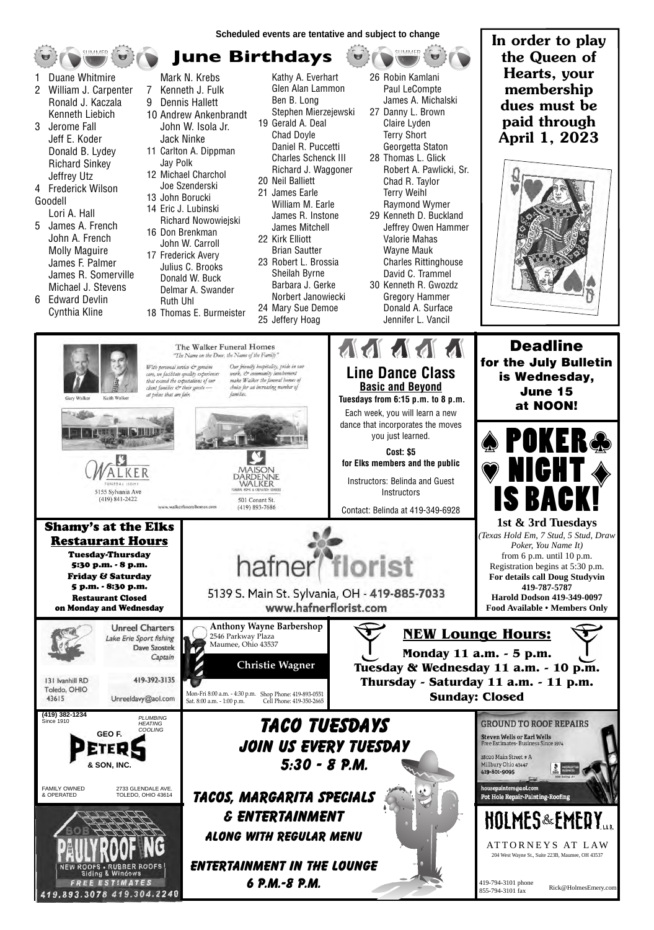Captain 419-392-3135 Mon-Fri 8:00 a.m. - 4:30 p.m. Shop Phone: 419-893-0551 Sat. 8:00 a.m. - 1:00 p.m.

**June Birthdays**

**Anthony Wayne Barbershop** 

2546 Parkway Plaza Maumee, Ohio 43537

www.walkerfuneralhomes.com

 **Christie Wagner**

 Instructors: Belinda and Guest **Instructors** 

Contact: Belinda at 419-349-6928

- 1 Duane Whitmire
- 2 William J. Carpenter Ronald J. Kaczala Kenneth Liebich
- 3 Jerome Fall Jeff E. Koder Donald B. Lydey Richard Sinkey Jeffrey Utz
- 4 Frederick Wilson Goodell

Lori A. Hall

- 5 James A. French John A. French Molly Maguire James F. Palmer James R. Somerville Michael J. Stevens
- 6 Edward Devlin Cynthia Kline

Gary Walker

- Mark N. Krebs
- 7 Kenneth J. Fulk
- 9 Dennis Hallett
- 10 Andrew Ankenbrandt John W. Isola Jr. Jack Ninke
- 11 Carlton A. Dippman Jay Polk
- 12 Michael Charchol Joe Szenderski
- 13 John Borucki
- 14 Eric J. Lubinski Richard Nowowiejski
- 16 Don Brenkman John W. Carroll 17 Frederick Avery Julius C. Brooks
	- Donald W. Buck Delmar A. Swander Ruth Uhl
- 18 Thomas E. Burmeister
- Kathy A. Everhart Glen Alan Lammon Ben B. Long Stephen Mierzejewski 19 Gerald A. Deal Chad Doyle Daniel R. Puccetti Charles Schenck III Richard J. Waggoner
- 20 Neil Balliett





- 21 James Earle William M. Earle James R. Instone James Mitchell
- 22 Kirk Elliott Brian Sautter 23 Robert L. Brossia Sheilah Byrne Barbara J. Gerke Norbert Janowiecki

24 Mary Sue Demoe 25 Jeffery Hoag

26 Robin Kamlani Paul LeCompte James A. Michalski 27 Danny L. Brown

SUMMER

- Claire Lyden Terry Short Georgetta Staton
- 28 Thomas L. Glick Robert A. Pawlicki, Sr. Chad R. Taylor Terry Weihl Raymond Wymer
- 29 Kenneth D. Buckland Jeffrey Owen Hammer Valorie Mahas Wayne Mauk Charles Rittinghouse David C. Trammel 30 Kenneth R. Gwozdz Gregory Hammer Donald A. Surface Jennifer L. Vancil

**Scheduled events are tentative and subject to change**





**1st & 3rd Tuesdays** *(Texas Hold Em, 7 Stud, 5 Stud, Draw Poker, You Name It)* from 6 p.m. until 10 p.m. Registration begins at 5:30 p.m. **For details call Doug Studyvin 419-787-5787 Harold Dodson 419-349-0097 Food Available • Members Only**

**Deadline for the July Bulletin is Wednesday, June 15 at NOON!** 

## Shamy's at the Elks Restaurant Hours

UNESAL HOM

5155 Sylvania Ave (419) 841-2422

Tuesday-Thursday 5:30 p.m. - 8 p.m.

Friday & Saturday 5 p.m. - 8:30 p.m. Restaurant Closed on Monday and Wednesday





131 Ivanhill RD Toledo, OHIO 43615

Unreeldavy@aol.com

# **NEW Lounge Hours:**

**Monday 11 a.m. - 5 p.m. Tuesday & Wednesday 11 a.m. - 10 p.m. Thursday - Saturday 11 a.m. - 11 p.m. Sunday: Closed**







**In order to play the Queen of Hearts, your membership dues must be paid through April 1, 2023**



### **M** M  $\mathbf{A}$ The Walker Funeral Homes "The Name on the Door, the Name of the Family" Our friendly hospitality, pride in our With personal service & genuine **Line Dance Class** care, we facilitate quality experiences work, & community involvement that exceed the expectations of our make Walker the funeral homes of **Basic and Beyond** client families & their guests choice for an increasing number of at prices that are fair. families. Keith Walke **Tuesdays from 6:15 p.m. to 8 p.m.** Each week, you will learn a new dance that incorporates the moves you just learned. **Cost: \$5 for Elks members and the public** VIAISON

hafner<sup>®</sup>florist

5139 S. Main St. Sylvania, OH - 419-885-7033 www.hafnerflorist.com